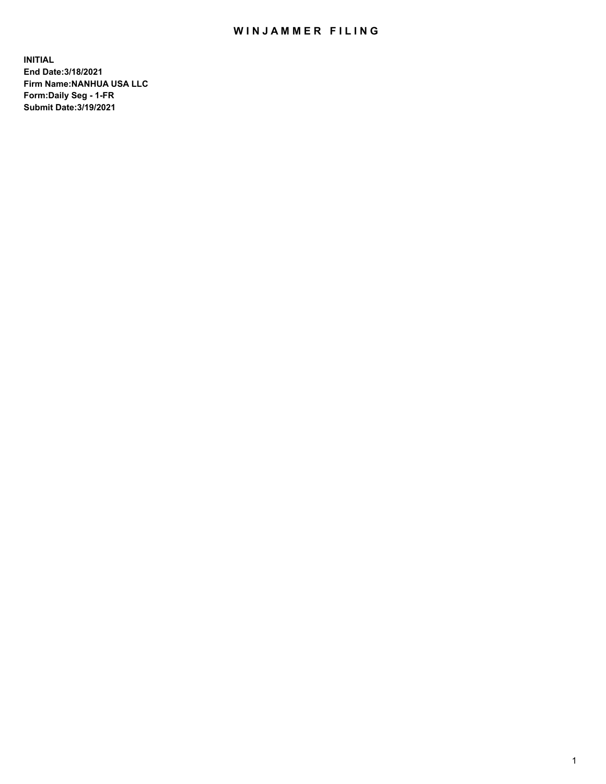## WIN JAMMER FILING

**INITIAL End Date:3/18/2021 Firm Name:NANHUA USA LLC Form:Daily Seg - 1-FR Submit Date:3/19/2021**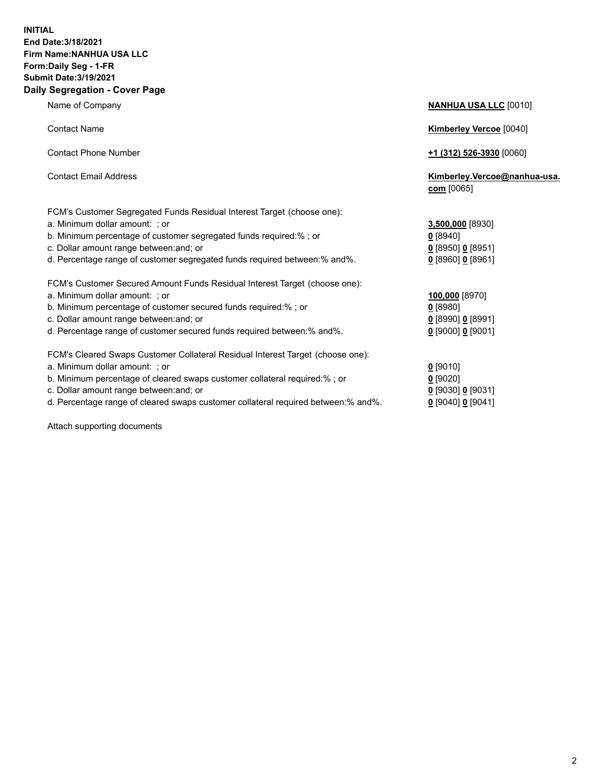## **INITIAL End Date:3/18/2021 Firm Name:NANHUA USA LLC Form:Daily Seg - 1-FR Submit Date:3/19/2021 Daily Segregation - Cover Page**

Name of Company **NANHUA USA LLC** [0010] Contact Name **Kimberley Vercoe** [0040] Contact Phone Number **+1 (312) 526-3930** [0060] Contact Email Address **Kimberley.Vercoe@nanhua-usa. com** [0065] FCM's Customer Segregated Funds Residual Interest Target (choose one): a. Minimum dollar amount: ; or **3,500,000** [8930] b. Minimum percentage of customer segregated funds required:% ; or **0** [8940] c. Dollar amount range between:and; or **0** [8950] **0** [8951] d. Percentage range of customer segregated funds required between:% and%. **0** [8960] **0** [8961] FCM's Customer Secured Amount Funds Residual Interest Target (choose one): a. Minimum dollar amount: ; or **100,000** [8970] b. Minimum percentage of customer secured funds required:% ; or **0** [8980] c. Dollar amount range between:and; or **0** [8990] **0** [8991] d. Percentage range of customer secured funds required between:% and%. **0** [9000] **0** [9001] FCM's Cleared Swaps Customer Collateral Residual Interest Target (choose one): a. Minimum dollar amount: ; or **0** [9010] b. Minimum percentage of cleared swaps customer collateral required:% ; or **0** [9020] c. Dollar amount range between:and; or **0** [9030] **0** [9031]

d. Percentage range of cleared swaps customer collateral required between:% and%. **0** [9040] **0** [9041]

Attach supporting documents

2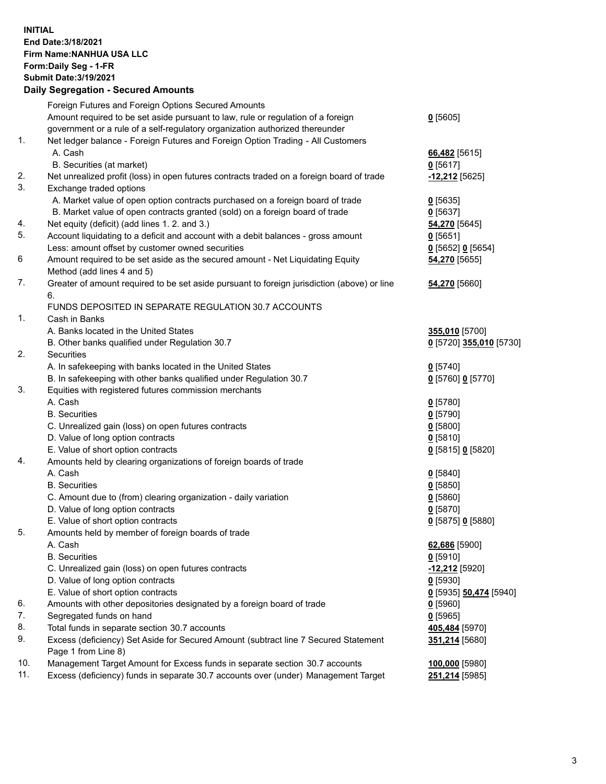## **INITIAL End Date:3/18/2021 Firm Name:NANHUA USA LLC Form:Daily Seg - 1-FR Submit Date:3/19/2021 Daily Segregation - Secured Amounts**

|     | Daily Segregation - Secured Amounts                                                                          |                                  |
|-----|--------------------------------------------------------------------------------------------------------------|----------------------------------|
|     | Foreign Futures and Foreign Options Secured Amounts                                                          |                                  |
|     | Amount required to be set aside pursuant to law, rule or regulation of a foreign                             | $0$ [5605]                       |
|     | government or a rule of a self-regulatory organization authorized thereunder                                 |                                  |
| 1.  | Net ledger balance - Foreign Futures and Foreign Option Trading - All Customers                              |                                  |
|     | A. Cash                                                                                                      | 66,482 [5615]                    |
|     | B. Securities (at market)                                                                                    | $0$ [5617]                       |
| 2.  | Net unrealized profit (loss) in open futures contracts traded on a foreign board of trade                    | -12,212 [5625]                   |
| 3.  | Exchange traded options                                                                                      |                                  |
|     | A. Market value of open option contracts purchased on a foreign board of trade                               | $0$ [5635]                       |
|     | B. Market value of open contracts granted (sold) on a foreign board of trade                                 | $0$ [5637]                       |
| 4.  | Net equity (deficit) (add lines 1. 2. and 3.)                                                                | 54,270 [5645]                    |
| 5.  | Account liquidating to a deficit and account with a debit balances - gross amount                            | $0$ [5651]                       |
|     | Less: amount offset by customer owned securities                                                             | 0 [5652] 0 [5654]                |
| 6   | Amount required to be set aside as the secured amount - Net Liquidating Equity                               | 54,270 [5655]                    |
|     | Method (add lines 4 and 5)                                                                                   |                                  |
| 7.  | Greater of amount required to be set aside pursuant to foreign jurisdiction (above) or line                  | 54,270 [5660]                    |
|     | 6.                                                                                                           |                                  |
|     | FUNDS DEPOSITED IN SEPARATE REGULATION 30.7 ACCOUNTS                                                         |                                  |
| 1.  | Cash in Banks                                                                                                |                                  |
|     | A. Banks located in the United States                                                                        | 355,010 [5700]                   |
|     | B. Other banks qualified under Regulation 30.7                                                               | 0 [5720] 355,010 [5730]          |
| 2.  | <b>Securities</b>                                                                                            |                                  |
|     | A. In safekeeping with banks located in the United States                                                    | $0$ [5740]                       |
|     | B. In safekeeping with other banks qualified under Regulation 30.7                                           | 0 [5760] 0 [5770]                |
| 3.  | Equities with registered futures commission merchants                                                        |                                  |
|     | A. Cash                                                                                                      | $0$ [5780]                       |
|     | <b>B.</b> Securities                                                                                         | $0$ [5790]                       |
|     | C. Unrealized gain (loss) on open futures contracts                                                          | $0$ [5800]                       |
|     | D. Value of long option contracts                                                                            | $0$ [5810]                       |
|     | E. Value of short option contracts                                                                           | 0 [5815] 0 [5820]                |
| 4.  | Amounts held by clearing organizations of foreign boards of trade                                            |                                  |
|     | A. Cash                                                                                                      | $0$ [5840]                       |
|     | <b>B.</b> Securities                                                                                         | $0$ [5850]                       |
|     | C. Amount due to (from) clearing organization - daily variation                                              | $0$ [5860]                       |
|     | D. Value of long option contracts                                                                            | $0$ [5870]                       |
|     | E. Value of short option contracts                                                                           | 0 [5875] 0 [5880]                |
| 5.  | Amounts held by member of foreign boards of trade                                                            |                                  |
|     | A. Cash                                                                                                      | 62,686 [5900]                    |
|     | <b>B.</b> Securities                                                                                         | $0$ [5910]                       |
|     | C. Unrealized gain (loss) on open futures contracts<br>D. Value of long option contracts                     | $-12,212$ [5920]                 |
|     |                                                                                                              | $0$ [5930]                       |
| 6.  | E. Value of short option contracts<br>Amounts with other depositories designated by a foreign board of trade | 0 [5935] 50,474 [5940]           |
| 7.  | Segregated funds on hand                                                                                     | <u>0</u> [5960]<br>$0$ [5965]    |
| 8.  | Total funds in separate section 30.7 accounts                                                                |                                  |
| 9.  | Excess (deficiency) Set Aside for Secured Amount (subtract line 7 Secured Statement                          | 405,484 [5970]<br>351,214 [5680] |
|     | Page 1 from Line 8)                                                                                          |                                  |
| 10. | Management Target Amount for Excess funds in separate section 30.7 accounts                                  | 100,000 [5980]                   |
| 11. | Excess (deficiency) funds in separate 30.7 accounts over (under) Management Target                           | 251,214 [5985]                   |
|     |                                                                                                              |                                  |
|     |                                                                                                              |                                  |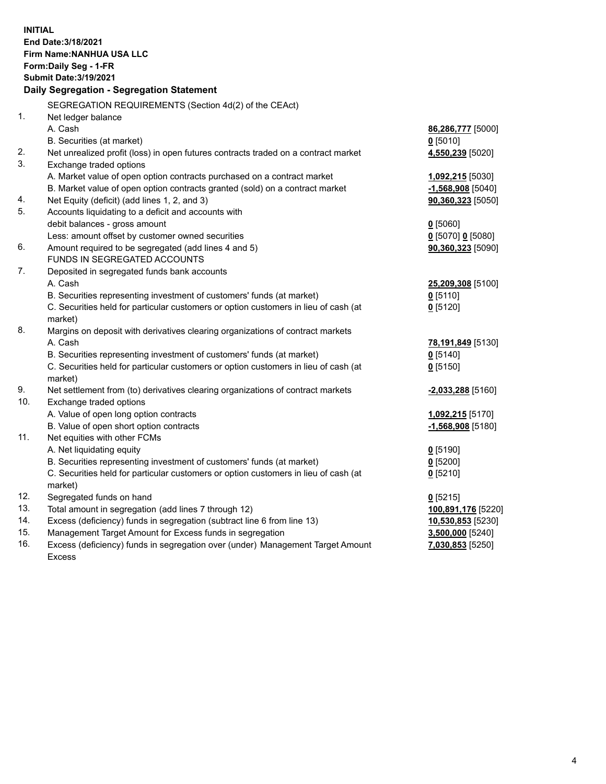| <b>INITIAL</b> | End Date: 3/18/2021<br>Firm Name: NANHUA USA LLC<br>Form: Daily Seg - 1-FR<br><b>Submit Date: 3/19/2021</b><br>Daily Segregation - Segregation Statement |                                       |
|----------------|----------------------------------------------------------------------------------------------------------------------------------------------------------|---------------------------------------|
|                | SEGREGATION REQUIREMENTS (Section 4d(2) of the CEAct)                                                                                                    |                                       |
| $\mathbf{1}$ . | Net ledger balance                                                                                                                                       |                                       |
|                | A. Cash                                                                                                                                                  | 86,286,777 [5000]                     |
|                | B. Securities (at market)                                                                                                                                | $0$ [5010]                            |
| 2.             | Net unrealized profit (loss) in open futures contracts traded on a contract market                                                                       | 4,550,239 [5020]                      |
| 3.             | Exchange traded options                                                                                                                                  |                                       |
|                | A. Market value of open option contracts purchased on a contract market                                                                                  | 1,092,215 [5030]                      |
|                | B. Market value of open option contracts granted (sold) on a contract market                                                                             | <u>-1,568,908</u> [5040]              |
| 4.             | Net Equity (deficit) (add lines 1, 2, and 3)                                                                                                             | $90,360,323$ [5050]                   |
| 5.             | Accounts liquidating to a deficit and accounts with                                                                                                      |                                       |
|                | debit balances - gross amount                                                                                                                            | $0$ [5060]                            |
|                | Less: amount offset by customer owned securities                                                                                                         | 0 [5070] 0 [5080]                     |
| 6.             | Amount required to be segregated (add lines 4 and 5)                                                                                                     | 90,360,323 [5090]                     |
|                | FUNDS IN SEGREGATED ACCOUNTS                                                                                                                             |                                       |
| 7.             | Deposited in segregated funds bank accounts                                                                                                              |                                       |
|                | A. Cash                                                                                                                                                  | 25,209,308 [5100]                     |
|                | B. Securities representing investment of customers' funds (at market)                                                                                    | $0$ [5110]                            |
|                | C. Securities held for particular customers or option customers in lieu of cash (at                                                                      | $0$ [5120]                            |
|                | market)                                                                                                                                                  |                                       |
| 8.             | Margins on deposit with derivatives clearing organizations of contract markets                                                                           |                                       |
|                | A. Cash                                                                                                                                                  | 78,191,849 [5130]                     |
|                | B. Securities representing investment of customers' funds (at market)                                                                                    | $0$ [5140]                            |
|                | C. Securities held for particular customers or option customers in lieu of cash (at                                                                      | $Q$ [5150]                            |
|                | market)                                                                                                                                                  |                                       |
| 9.             | Net settlement from (to) derivatives clearing organizations of contract markets                                                                          | -2,033,288 [5160]                     |
| 10.            | Exchange traded options                                                                                                                                  |                                       |
|                | A. Value of open long option contracts                                                                                                                   | 1,092,215 [5170]                      |
|                | B. Value of open short option contracts                                                                                                                  | $-1,568,908$ [5180]                   |
| 11.            | Net equities with other FCMs                                                                                                                             |                                       |
|                | A. Net liquidating equity                                                                                                                                | $0$ [5190]                            |
|                | B. Securities representing investment of customers' funds (at market)                                                                                    | $0$ [5200]                            |
|                | C. Securities held for particular customers or option customers in lieu of cash (at                                                                      | $0$ [5210]                            |
| 12.            | market)<br>Segregated funds on hand                                                                                                                      |                                       |
| 13.            | Total amount in segregation (add lines 7 through 12)                                                                                                     | $0$ [5215]                            |
| 14.            | Excess (deficiency) funds in segregation (subtract line 6 from line 13)                                                                                  | 100,891,176 [5220]                    |
| 15.            | Management Target Amount for Excess funds in segregation                                                                                                 | 10,530,853 [5230]<br>3,500,000 [5240] |
| 16.            | Excess (deficiency) funds in segregation over (under) Management Target Amount                                                                           | 7,030,853 [5250]                      |
|                | <b>Excess</b>                                                                                                                                            |                                       |